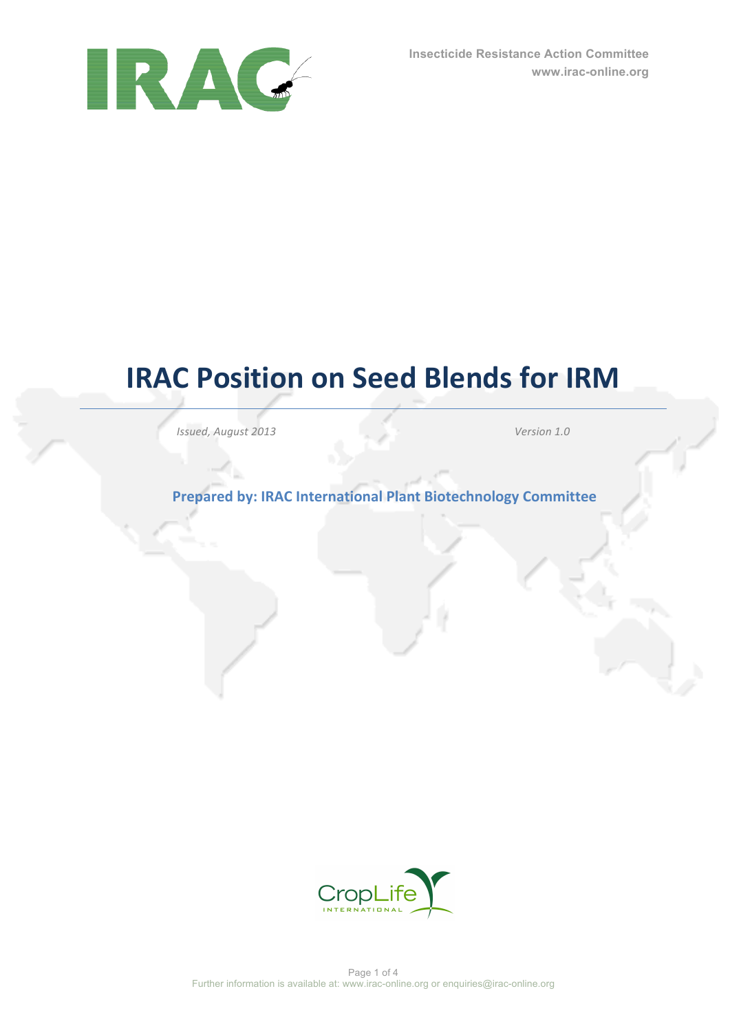

# **IRAC Position on Seed Blends for IRM**

*Issued, August 2013 Version 1.0*

**Prepared by: IRAC International Plant Biotechnology Committee** 

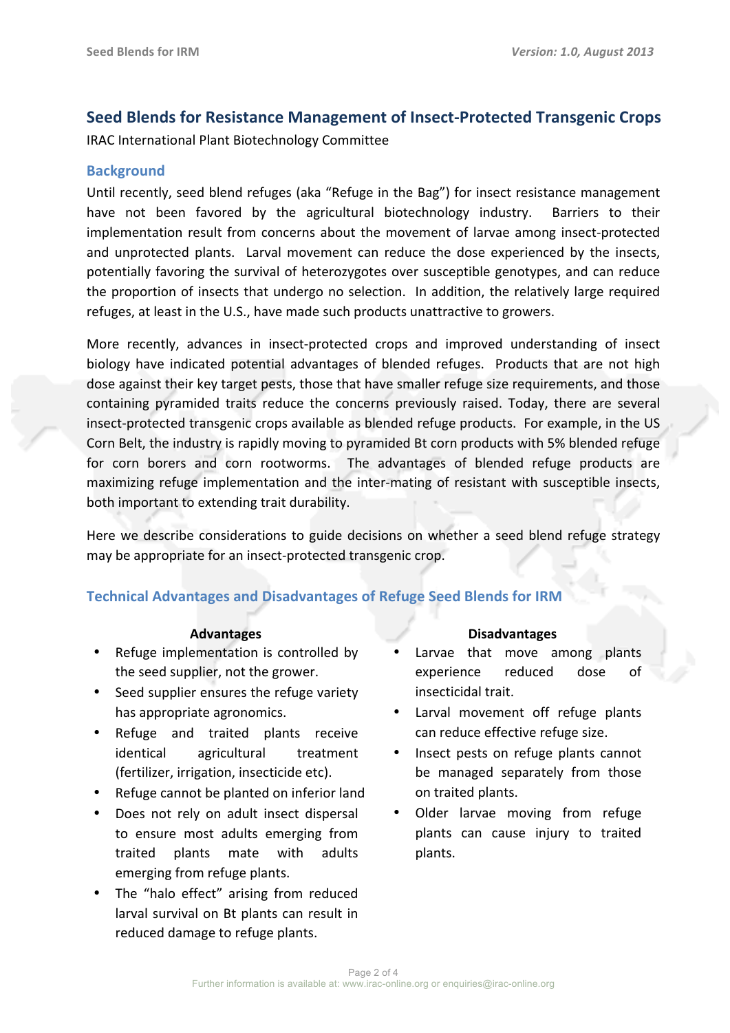# **Seed Blends for Resistance Management of Insect-Protected Transgenic Crops**

IRAC International Plant Biotechnology Committee

## **Background**

Until recently, seed blend refuges (aka "Refuge in the Bag") for insect resistance management have not been favored by the agricultural biotechnology industry. Barriers to their implementation result from concerns about the movement of larvae among insect-protected and unprotected plants. Larval movement can reduce the dose experienced by the insects, potentially favoring the survival of heterozygotes over susceptible genotypes, and can reduce the proportion of insects that undergo no selection. In addition, the relatively large required refuges, at least in the U.S., have made such products unattractive to growers.

More recently, advances in insect-protected crops and improved understanding of insect biology have indicated potential advantages of blended refuges. Products that are not high dose against their key target pests, those that have smaller refuge size requirements, and those containing pyramided traits reduce the concerns previously raised. Today, there are several insect-protected transgenic crops available as blended refuge products. For example, in the US Corn Belt, the industry is rapidly moving to pyramided Bt corn products with 5% blended refuge for corn borers and corn rootworms. The advantages of blended refuge products are maximizing refuge implementation and the inter-mating of resistant with susceptible insects, both important to extending trait durability.

Here we describe considerations to guide decisions on whether a seed blend refuge strategy may be appropriate for an insect-protected transgenic crop.

# **Technical Advantages and Disadvantages of Refuge Seed Blends for IRM**

- Refuge implementation is controlled by the seed supplier, not the grower.
- Seed supplier ensures the refuge variety has appropriate agronomics.
- Refuge and traited plants receive identical agricultural treatment (fertilizer, irrigation, insecticide etc).
- Refuge cannot be planted on inferior land
- Does not rely on adult insect dispersal to ensure most adults emerging from traited plants mate with adults emerging from refuge plants.
- The "halo effect" arising from reduced larval survival on Bt plants can result in reduced damage to refuge plants.

#### **Advantages Disadvantages**

- Larvae that move among plants experience reduced dose of insecticidal trait.
- Larval movement off refuge plants can reduce effective refuge size.
- Insect pests on refuge plants cannot be managed separately from those on traited plants.
- Older larvae moving from refuge plants can cause injury to traited plants.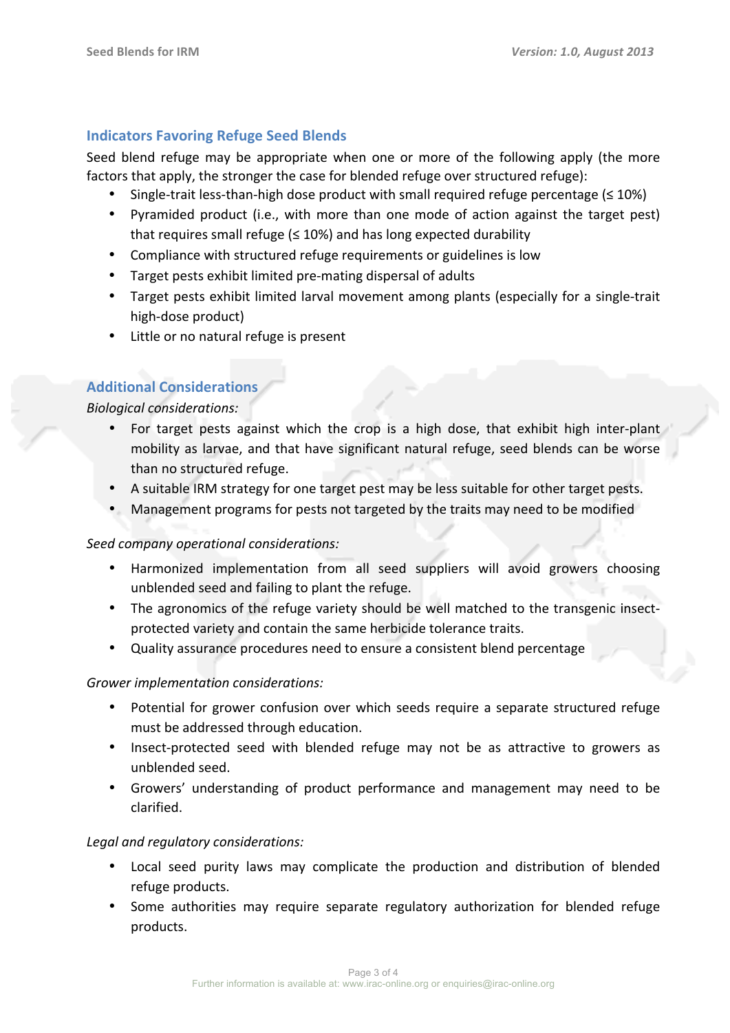# **Indicators Favoring Refuge Seed Blends**

Seed blend refuge may be appropriate when one or more of the following apply (the more factors that apply, the stronger the case for blended refuge over structured refuge):

- Single-trait less-than-high dose product with small required refuge percentage  $(≤ 10%)$
- Pyramided product (i.e., with more than one mode of action against the target pest) that requires small refuge  $(≤ 10%)$  and has long expected durability
- Compliance with structured refuge requirements or guidelines is low
- Target pests exhibit limited pre-mating dispersal of adults
- Target pests exhibit limited larval movement among plants (especially for a single-trait high-dose product)
- Little or no natural refuge is present

# **Additional Considerations**

*Biological considerations:*

- For target pests against which the crop is a high dose, that exhibit high inter-plant mobility as larvae, and that have significant natural refuge, seed blends can be worse than no structured refuge.
- A suitable IRM strategy for one target pest may be less suitable for other target pests.
- Management programs for pests not targeted by the traits may need to be modified

### *Seed company operational considerations:*

- Harmonized implementation from all seed suppliers will avoid growers choosing unblended seed and failing to plant the refuge.
- The agronomics of the refuge variety should be well matched to the transgenic insectprotected variety and contain the same herbicide tolerance traits.
- Quality assurance procedures need to ensure a consistent blend percentage

# Grower implementation considerations:

- Potential for grower confusion over which seeds require a separate structured refuge must be addressed through education.
- Insect-protected seed with blended refuge may not be as attractive to growers as unblended seed.
- Growers' understanding of product performance and management may need to be clarified.

### Legal and regulatory considerations:

- Local seed purity laws may complicate the production and distribution of blended refuge products.
- Some authorities may require separate regulatory authorization for blended refuge products.